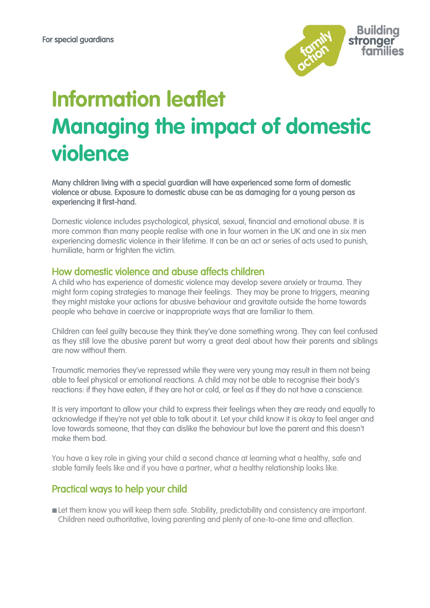

# **Information leaflet Managing the impact of domestic violence**

Many children living with a special guardian will have experienced some form of domestic violence or abuse. Exposure to domestic abuse can be as damaging for a young person as experiencing it first-hand.

Domestic violence includes psychological, physical, sexual, financial and emotional abuse. It is more common than many people realise with one in four women in the UK and one in six men experiencing domestic violence in their lifetime. It can be an act or series of acts used to punish, humiliate, harm or frighten the victim.

## How domestic violence and abuse affects children

A child who has experience of domestic violence may develop severe anxiety or trauma. They might form coping strategies to manage their feelings. They may be prone to triggers, meaning they might mistake your actions for abusive behaviour and gravitate outside the home towards people who behave in coercive or inappropriate ways that are familiar to them.

Children can feel guilty because they think they've done something wrong. They can feel confused as they still love the abusive parent but worry a great deal about how their parents and siblings are now without them.

Traumatic memories they've repressed while they were very young may result in them not being able to feel physical or emotional reactions. A child may not be able to recognise their body's reactions: if they have eaten, if they are hot or cold, or feel as if they do not have a conscience.

It is very important to allow your child to express their feelings when they are ready and equally to acknowledge if they're not yet able to talk about it. Let your child know it is okay to feel anger and love towards someone, that they can dislike the behaviour but love the parent and this doesn't make them bad.

You have a key role in giving your child a second chance at learning what a healthy, safe and stable family feels like and if you have a partner, what a healthy relationship looks like.

# Practical ways to help your child

**Example them know you will keep them safe. Stability, predictability and consistency are important.** Children need authoritative, loving parenting and plenty of one-to-one time and affection.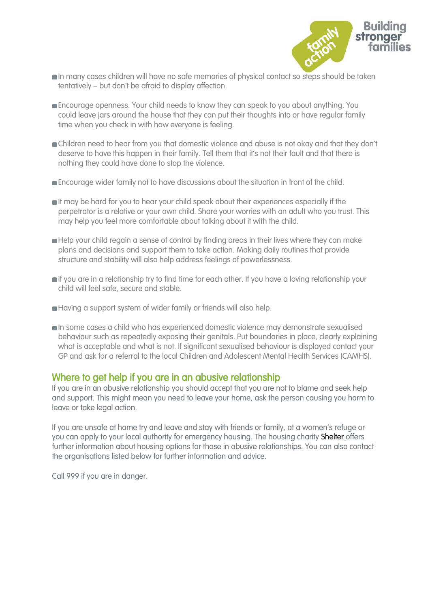

- In many cases children will have no safe memories of physical contact so steps should be taken tentatively – but don't be afraid to display affection.
- Encourage openness. Your child needs to know they can speak to you about anything. You could leave jars around the house that they can put their thoughts into or have regular family time when you check in with how everyone is feeling.
- Children need to hear from you that domestic violence and abuse is not okay and that they don't deserve to have this happen in their family. Tell them that it's not their fault and that there is nothing they could have done to stop the violence.
- Encourage wider family not to have discussions about the situation in front of the child.
- **If may be hard for you to hear your child speak about their experiences especially if the** perpetrator is a relative or your own child. Share your worries with an adult who you trust. This may help you feel more comfortable about talking about it with the child.
- Help your child regain a sense of control by finding areas in their lives where they can make plans and decisions and support them to take action. Making daily routines that provide structure and stability will also help address feelings of powerlessness.
- **If** you are in a relationship try to find time for each other. If you have a loving relationship your child will feel safe, secure and stable.
- Having a support system of wider family or friends will also help.
- In some cases a child who has experienced domestic violence may demonstrate sexualised behaviour such as repeatedly exposing their genitals. Put boundaries in place, clearly explaining what is acceptable and what is not. If significant sexualised behaviour is displayed contact your GP and ask for a referral to the local Children and Adolescent Mental Health Services (CAMHS).

## Where to get help if you are in an abusive relationship

If you are in an abusive relationship you should accept that you are not to blame and seek help and support. This might mean you need to leave your home, ask the person causing you harm to leave or take legal action.

If you are unsafe at home try and leave and stay with friends or family, at a women's refuge or you can apply to your local authority for emergency housing. The housing charity [Shelter](http://england.shelter.org.uk/get_advice/homelessness/whats_your_situation/homeless_due_to_domestic_violence_or_abuse) offers further information about housing options for those in abusive relationships. You can also contact the organisations listed below for further information and advice.

Call 999 if you are in danger.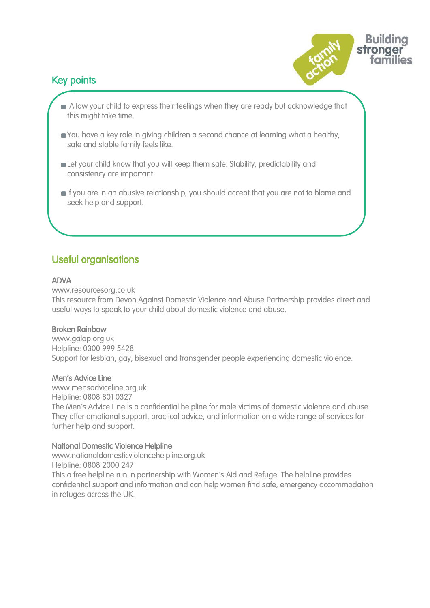# Key points

 $\overline{\phantom{a}}$ 



- Allow your child to express their feelings when they are ready but acknowledge that this might take time.
- You have a key role in giving children a second chance at learning what a healthy, safe and stable family feels like.
- **ELET your child know that you will keep them safe. Stability, predictability and** consistency are important.
- **If you are in an abusive relationship, you should accept that you are not to blame and** seek help and support.

# Useful organisations

#### ADVA

www.resourcesorg.co.uk

This resource from Devon Against Domestic Violence and Abuse Partnership provides direct and useful ways to speak to your child about domestic violence and abuse.

#### Broken Rainbow

www.galop.org.uk Helpline: 0300 999 5428 Support for lesbian, gay, bisexual and transgender people experiencing domestic violence.

#### Men's Advice Line

www.mensadviceline.org.uk Helpline: 0808 801 0327 The Men's Advice Line is a confidential helpline for male victims of domestic violence and abuse. They offer emotional support, practical advice, and information on a wide range of services for further help and support.

### National Domestic Violence Helpline

www.nationaldomesticviolencehelpline.org.uk Helpline: 0808 2000 247 This a free helpline run in partnership with Women's Aid and Refuge. The helpline provides confidential support and information and can help women find safe, emergency accommodation in refuges across the UK.